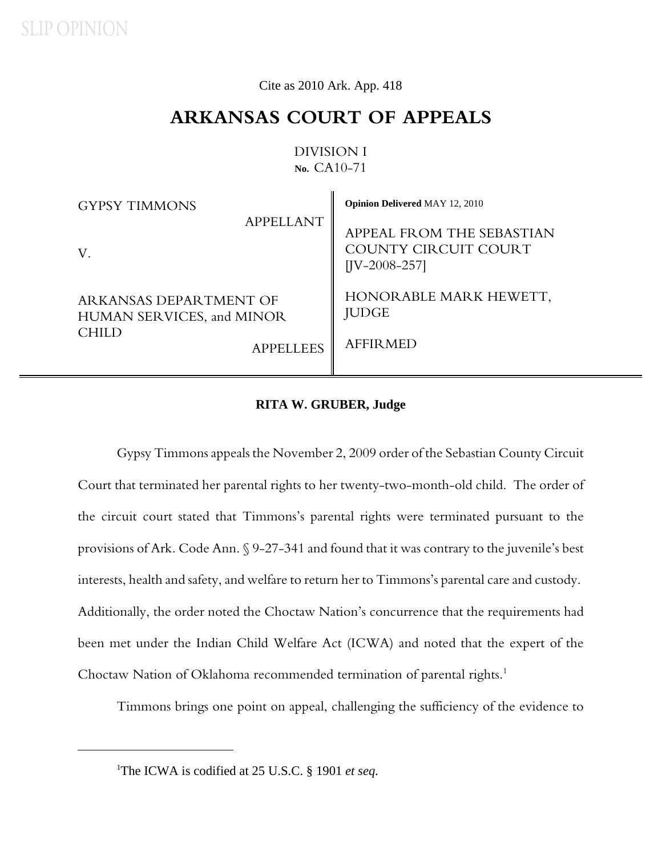Cite as 2010 Ark. App. 418

## **ARKANSAS COURT OF APPEALS**

## DIVISION I **No.** CA10-71

ù.

| <b>GYPSY TIMMONS</b>                                                                           | <b>Opinion Delivered MAY 12, 2010</b>                                |
|------------------------------------------------------------------------------------------------|----------------------------------------------------------------------|
| <b>APPELLANT</b><br>V.                                                                         | APPEAL FROM THE SEBASTIAN<br>COUNTY CIRCUIT COURT<br>$[IV-2008-257]$ |
| ARKANSAS DEPARTMENT OF<br><b>HUMAN SERVICES, and MINOR</b><br><b>CHILD</b><br><b>APPELLEES</b> | HONORABLE MARK HEWETT,<br><b>JUDGE</b><br><b>AFFIRMED</b>            |

## **RITA W. GRUBER, Judge**

Gypsy Timmons appeals the November 2, 2009 order of the Sebastian County Circuit Court that terminated her parental rights to her twenty-two-month-old child. The order of the circuit court stated that Timmons's parental rights were terminated pursuant to the provisions of Ark. Code Ann. § 9-27-341 and found that it was contrary to the juvenile's best interests, health and safety, and welfare to return her to Timmons's parental care and custody. Additionally, the order noted the Choctaw Nation's concurrence that the requirements had been met under the Indian Child Welfare Act (ICWA) and noted that the expert of the Choctaw Nation of Oklahoma recommended termination of parental rights.<sup>1</sup>

Timmons brings one point on appeal, challenging the sufficiency of the evidence to

<sup>&</sup>lt;sup>1</sup>The ICWA is codified at 25 U.S.C. § 1901 *et seq.*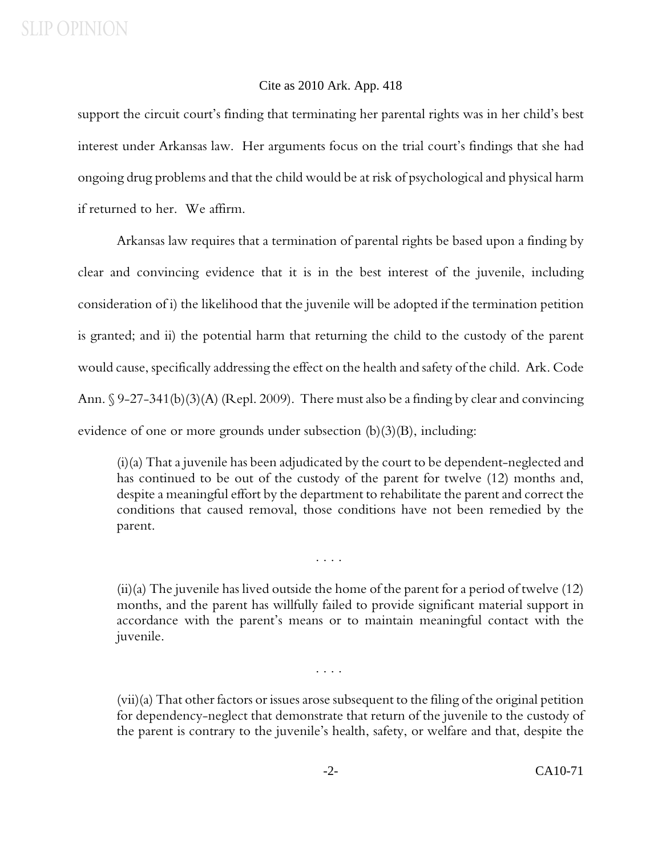support the circuit court's finding that terminating her parental rights was in her child's best interest under Arkansas law. Her arguments focus on the trial court's findings that she had ongoing drug problems and that the child would be at risk of psychological and physical harm if returned to her. We affirm.

Arkansas law requires that a termination of parental rights be based upon a finding by clear and convincing evidence that it is in the best interest of the juvenile, including consideration of i) the likelihood that the juvenile will be adopted if the termination petition is granted; and ii) the potential harm that returning the child to the custody of the parent would cause, specifically addressing the effect on the health and safety of the child. Ark. Code Ann. § 9-27-341(b)(3)(A) (Repl. 2009). There must also be a finding by clear and convincing evidence of one or more grounds under subsection (b)(3)(B), including:

(i)(a) That a juvenile has been adjudicated by the court to be dependent-neglected and has continued to be out of the custody of the parent for twelve (12) months and, despite a meaningful effort by the department to rehabilitate the parent and correct the conditions that caused removal, those conditions have not been remedied by the parent.

(ii)(a) The juvenile has lived outside the home of the parent for a period of twelve (12) months, and the parent has willfully failed to provide significant material support in accordance with the parent's means or to maintain meaningful contact with the juvenile.

. . . .

. . . .

(vii)(a) That other factors or issues arose subsequent to the filing of the original petition for dependency-neglect that demonstrate that return of the juvenile to the custody of the parent is contrary to the juvenile's health, safety, or welfare and that, despite the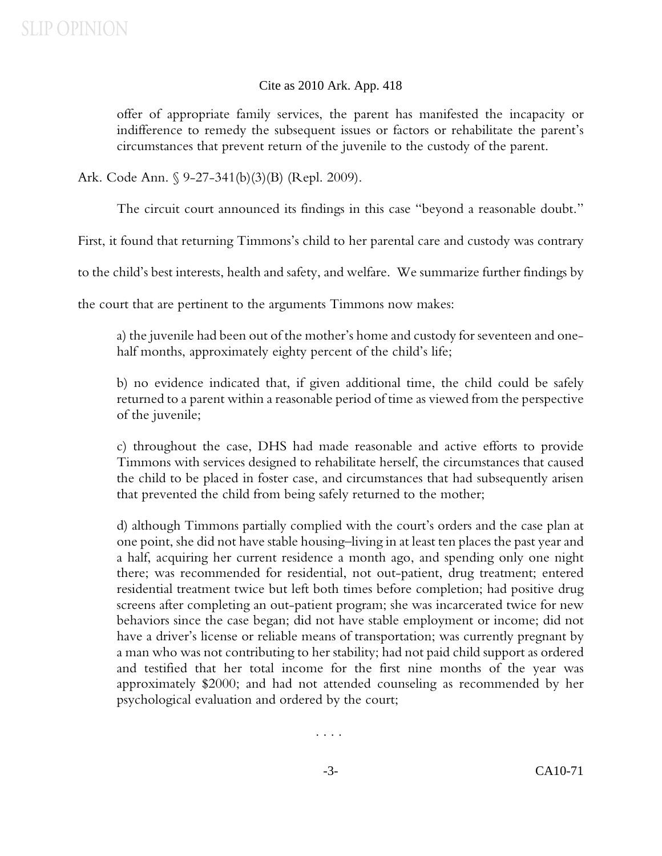offer of appropriate family services, the parent has manifested the incapacity or indifference to remedy the subsequent issues or factors or rehabilitate the parent's circumstances that prevent return of the juvenile to the custody of the parent.

Ark. Code Ann. § 9-27-341(b)(3)(B) (Repl. 2009).

The circuit court announced its findings in this case "beyond a reasonable doubt."

First, it found that returning Timmons's child to her parental care and custody was contrary

to the child's best interests, health and safety, and welfare. We summarize further findings by

the court that are pertinent to the arguments Timmons now makes:

a) the juvenile had been out of the mother's home and custody for seventeen and onehalf months, approximately eighty percent of the child's life;

b) no evidence indicated that, if given additional time, the child could be safely returned to a parent within a reasonable period of time as viewed from the perspective of the juvenile;

c) throughout the case, DHS had made reasonable and active efforts to provide Timmons with services designed to rehabilitate herself, the circumstances that caused the child to be placed in foster case, and circumstances that had subsequently arisen that prevented the child from being safely returned to the mother;

d) although Timmons partially complied with the court's orders and the case plan at one point, she did not have stable housing–living in at least ten places the past year and a half, acquiring her current residence a month ago, and spending only one night there; was recommended for residential, not out-patient, drug treatment; entered residential treatment twice but left both times before completion; had positive drug screens after completing an out-patient program; she was incarcerated twice for new behaviors since the case began; did not have stable employment or income; did not have a driver's license or reliable means of transportation; was currently pregnant by a man who was not contributing to her stability; had not paid child support as ordered and testified that her total income for the first nine months of the year was approximately \$2000; and had not attended counseling as recommended by her psychological evaluation and ordered by the court;

. . . .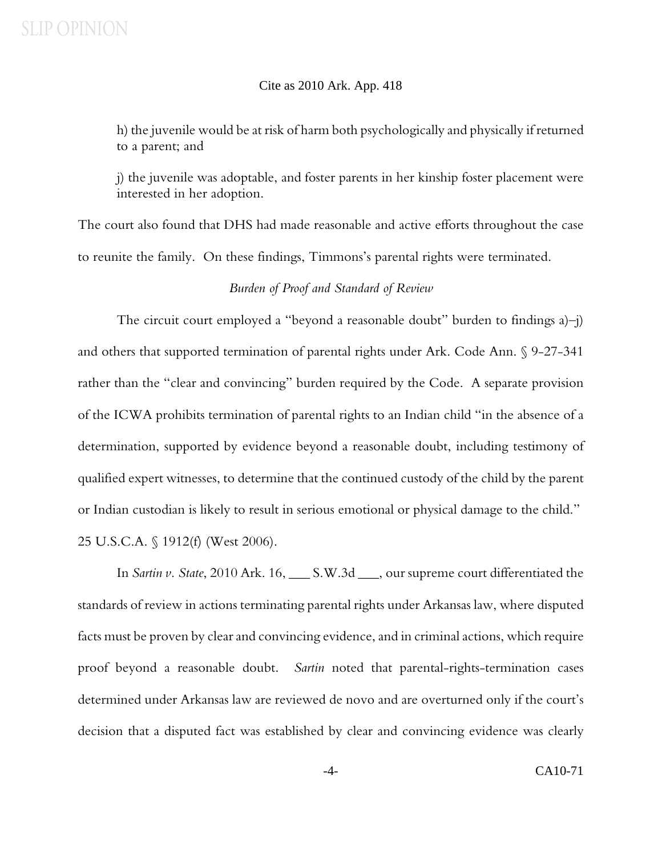h) the juvenile would be at risk of harm both psychologically and physically if returned to a parent; and

j) the juvenile was adoptable, and foster parents in her kinship foster placement were interested in her adoption.

The court also found that DHS had made reasonable and active efforts throughout the case to reunite the family. On these findings, Timmons's parental rights were terminated.

### *Burden of Proof and Standard of Review*

The circuit court employed a "beyond a reasonable doubt" burden to findings a)–j) and others that supported termination of parental rights under Ark. Code Ann. § 9-27-341 rather than the "clear and convincing" burden required by the Code. A separate provision of the ICWA prohibits termination of parental rights to an Indian child "in the absence of a determination, supported by evidence beyond a reasonable doubt, including testimony of qualified expert witnesses, to determine that the continued custody of the child by the parent or Indian custodian is likely to result in serious emotional or physical damage to the child." 25 U.S.C.A. § 1912(f) (West 2006).

In *Sartin v. State*, 2010 Ark. 16, \_\_\_ S.W.3d \_\_\_, our supreme court differentiated the standards of review in actions terminating parental rights under Arkansas law, where disputed facts must be proven by clear and convincing evidence, and in criminal actions, which require proof beyond a reasonable doubt. *Sartin* noted that parental-rights-termination cases determined under Arkansas law are reviewed de novo and are overturned only if the court's decision that a disputed fact was established by clear and convincing evidence was clearly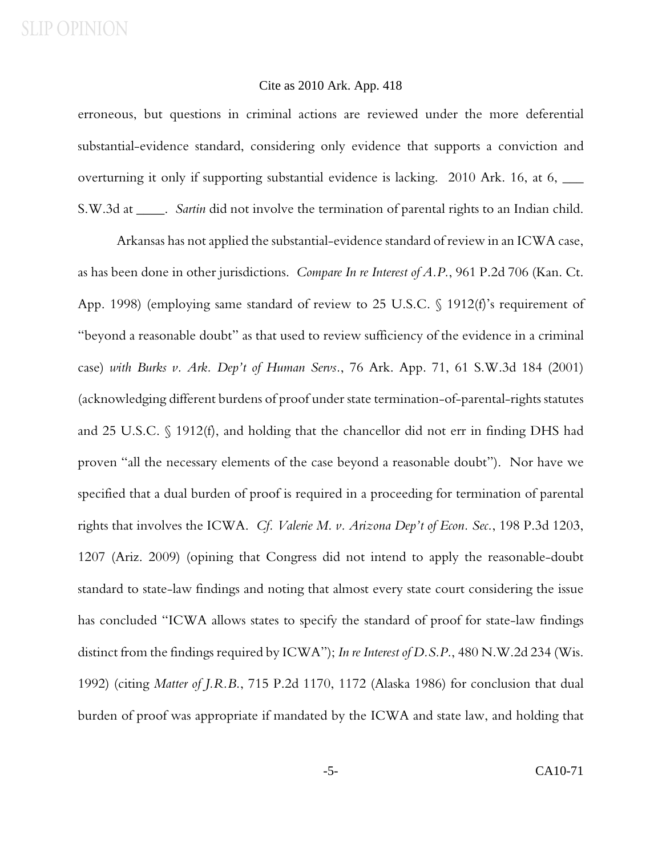#### Cite as 2010 Ark. App. 418

erroneous, but questions in criminal actions are reviewed under the more deferential substantial-evidence standard, considering only evidence that supports a conviction and overturning it only if supporting substantial evidence is lacking. 2010 Ark. 16, at 6,  $\_\_$ S.W.3d at \_\_\_\_. *Sartin* did not involve the termination of parental rights to an Indian child.

Arkansas has not applied the substantial-evidence standard of review in an ICWA case, as has been done in other jurisdictions. *Compare In re Interest of A.P.*, 961 P.2d 706 (Kan. Ct. App. 1998) (employing same standard of review to 25 U.S.C. § 1912(f)'s requirement of "beyond a reasonable doubt" as that used to review sufficiency of the evidence in a criminal case) *with Burks v. Ark. Dep't of Human Servs.*, 76 Ark. App. 71, 61 S.W.3d 184 (2001) (acknowledging different burdens of proof under state termination-of-parental-rights statutes and 25 U.S.C. § 1912(f), and holding that the chancellor did not err in finding DHS had proven "all the necessary elements of the case beyond a reasonable doubt"). Nor have we specified that a dual burden of proof is required in a proceeding for termination of parental rights that involves the ICWA. *Cf. Valerie M. v. Arizona Dep't of Econ. Sec.*, 198 P.3d 1203, 1207 (Ariz. 2009) (opining that Congress did not intend to apply the reasonable-doubt standard to state-law findings and noting that almost every state court considering the issue has concluded "ICWA allows states to specify the standard of proof for state-law findings distinct from the findings required by ICWA"); *In re Interest of D.S.P.*, 480 N.W.2d 234 (Wis. 1992) (citing *Matter of J.R.B.*, 715 P.2d 1170, 1172 (Alaska 1986) for conclusion that dual burden of proof was appropriate if mandated by the ICWA and state law, and holding that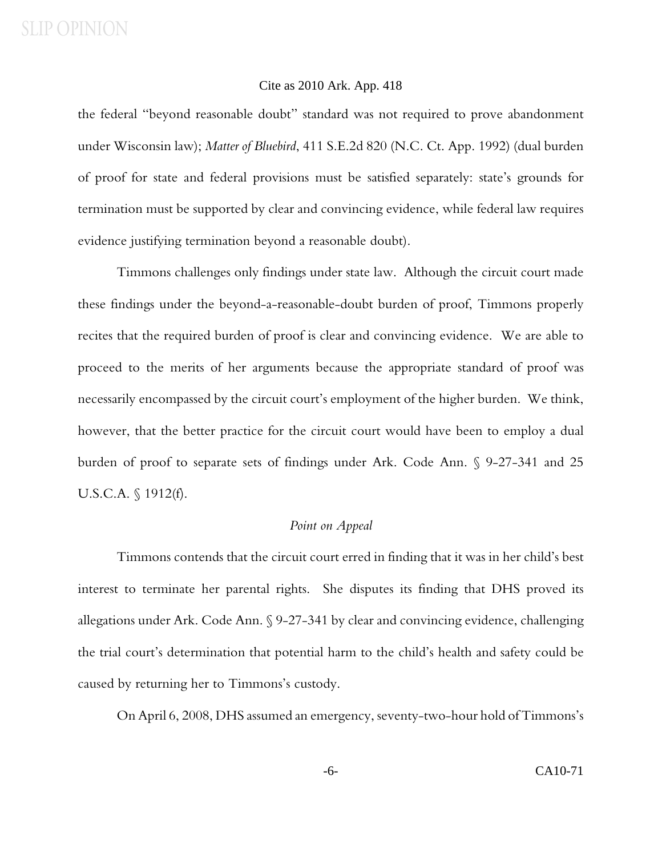### Cite as 2010 Ark. App. 418

the federal "beyond reasonable doubt" standard was not required to prove abandonment under Wisconsin law); *Matter of Bluebird*, 411 S.E.2d 820 (N.C. Ct. App. 1992) (dual burden of proof for state and federal provisions must be satisfied separately: state's grounds for termination must be supported by clear and convincing evidence, while federal law requires evidence justifying termination beyond a reasonable doubt).

Timmons challenges only findings under state law. Although the circuit court made these findings under the beyond-a-reasonable-doubt burden of proof, Timmons properly recites that the required burden of proof is clear and convincing evidence. We are able to proceed to the merits of her arguments because the appropriate standard of proof was necessarily encompassed by the circuit court's employment of the higher burden. We think, however, that the better practice for the circuit court would have been to employ a dual burden of proof to separate sets of findings under Ark. Code Ann. § 9-27-341 and 25 U.S.C.A. § 1912(f).

## *Point on Appeal*

Timmons contends that the circuit court erred in finding that it was in her child's best interest to terminate her parental rights. She disputes its finding that DHS proved its allegations under Ark. Code Ann. § 9-27-341 by clear and convincing evidence, challenging the trial court's determination that potential harm to the child's health and safety could be caused by returning her to Timmons's custody.

On April 6, 2008, DHS assumed an emergency, seventy-two-hour hold of Timmons's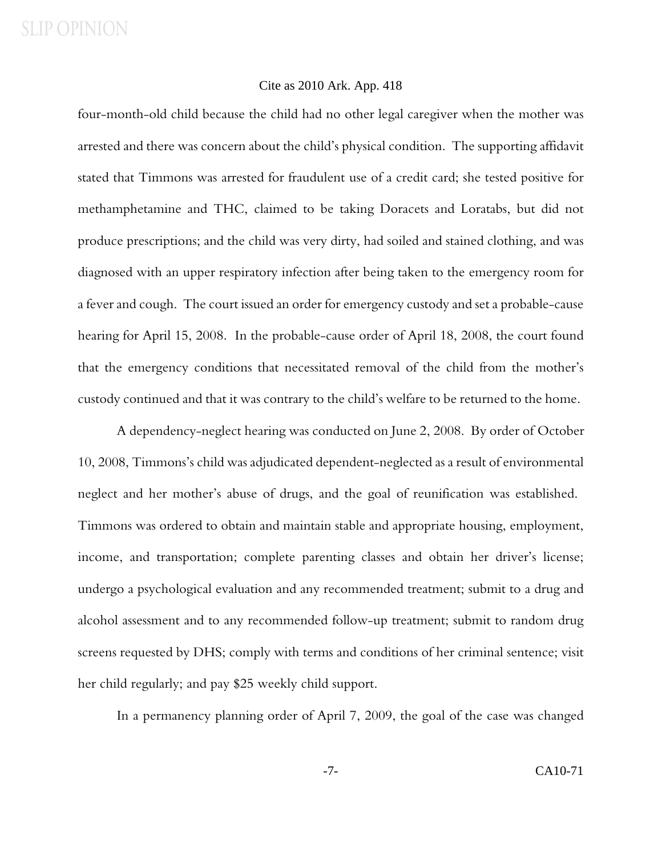### Cite as 2010 Ark. App. 418

four-month-old child because the child had no other legal caregiver when the mother was arrested and there was concern about the child's physical condition. The supporting affidavit stated that Timmons was arrested for fraudulent use of a credit card; she tested positive for methamphetamine and THC, claimed to be taking Doracets and Loratabs, but did not produce prescriptions; and the child was very dirty, had soiled and stained clothing, and was diagnosed with an upper respiratory infection after being taken to the emergency room for a fever and cough. The court issued an order for emergency custody and set a probable-cause hearing for April 15, 2008. In the probable-cause order of April 18, 2008, the court found that the emergency conditions that necessitated removal of the child from the mother's custody continued and that it was contrary to the child's welfare to be returned to the home.

 A dependency-neglect hearing was conducted on June 2, 2008. By order of October 10, 2008, Timmons's child was adjudicated dependent-neglected as a result of environmental neglect and her mother's abuse of drugs, and the goal of reunification was established. Timmons was ordered to obtain and maintain stable and appropriate housing, employment, income, and transportation; complete parenting classes and obtain her driver's license; undergo a psychological evaluation and any recommended treatment; submit to a drug and alcohol assessment and to any recommended follow-up treatment; submit to random drug screens requested by DHS; comply with terms and conditions of her criminal sentence; visit her child regularly; and pay \$25 weekly child support.

In a permanency planning order of April 7, 2009, the goal of the case was changed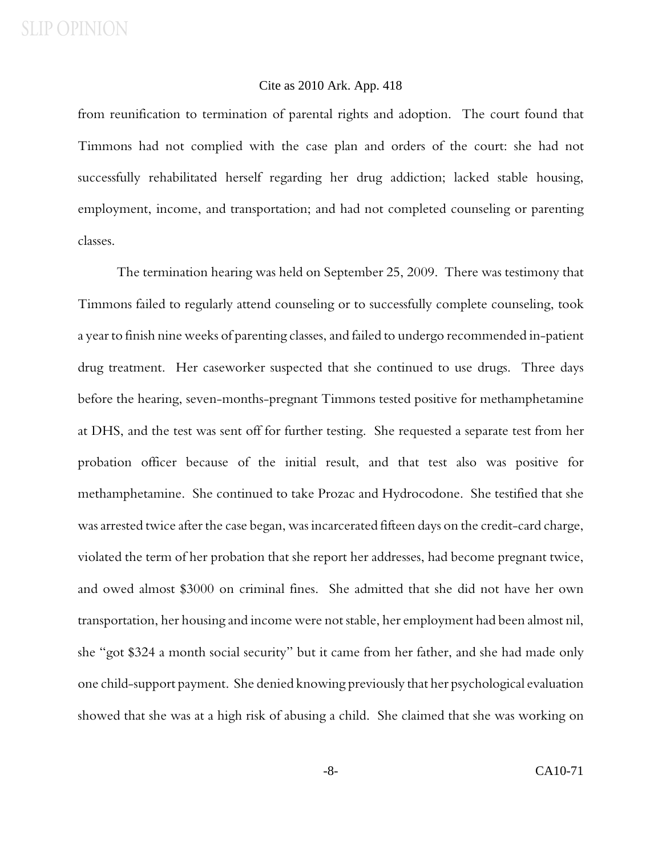from reunification to termination of parental rights and adoption. The court found that Timmons had not complied with the case plan and orders of the court: she had not successfully rehabilitated herself regarding her drug addiction; lacked stable housing, employment, income, and transportation; and had not completed counseling or parenting classes.

The termination hearing was held on September 25, 2009. There was testimony that Timmons failed to regularly attend counseling or to successfully complete counseling, took a year to finish nine weeks of parenting classes, and failed to undergo recommended in-patient drug treatment. Her caseworker suspected that she continued to use drugs. Three days before the hearing, seven-months-pregnant Timmons tested positive for methamphetamine at DHS, and the test was sent off for further testing. She requested a separate test from her probation officer because of the initial result, and that test also was positive for methamphetamine. She continued to take Prozac and Hydrocodone. She testified that she was arrested twice after the case began, was incarcerated fifteen days on the credit-card charge, violated the term of her probation that she report her addresses, had become pregnant twice, and owed almost \$3000 on criminal fines. She admitted that she did not have her own transportation, her housing and income were not stable, her employment had been almost nil, she "got \$324 a month social security" but it came from her father, and she had made only one child-support payment. She denied knowing previously that her psychological evaluation showed that she was at a high risk of abusing a child. She claimed that she was working on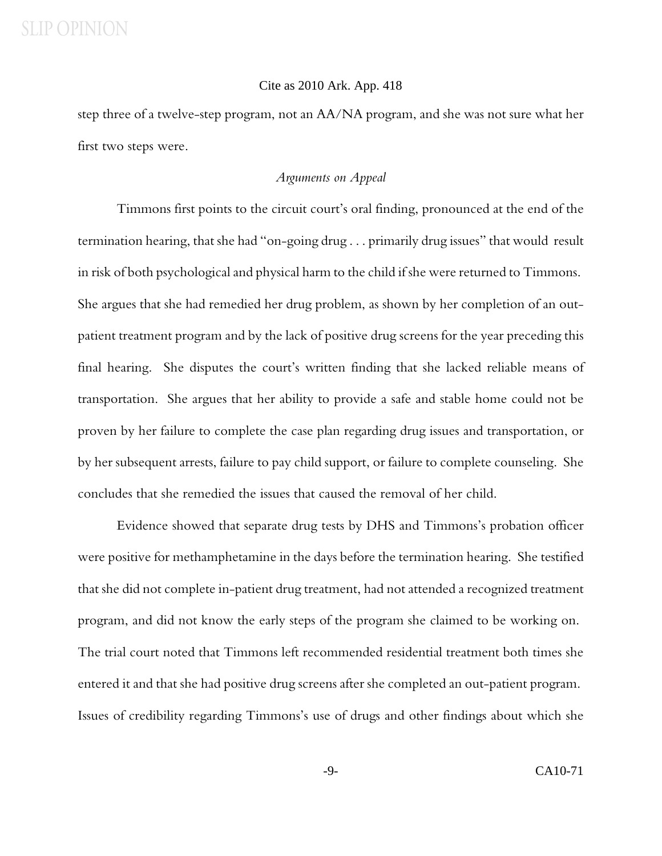#### Cite as 2010 Ark. App. 418

step three of a twelve-step program, not an AA/NA program, and she was not sure what her first two steps were.

### *Arguments on Appeal*

Timmons first points to the circuit court's oral finding, pronounced at the end of the termination hearing, that she had "on-going drug . . . primarily drug issues" that would result in risk of both psychological and physical harm to the child if she were returned to Timmons. She argues that she had remedied her drug problem, as shown by her completion of an outpatient treatment program and by the lack of positive drug screens for the year preceding this final hearing. She disputes the court's written finding that she lacked reliable means of transportation. She argues that her ability to provide a safe and stable home could not be proven by her failure to complete the case plan regarding drug issues and transportation, or by her subsequent arrests, failure to pay child support, or failure to complete counseling. She concludes that she remedied the issues that caused the removal of her child.

Evidence showed that separate drug tests by DHS and Timmons's probation officer were positive for methamphetamine in the days before the termination hearing. She testified that she did not complete in-patient drug treatment, had not attended a recognized treatment program, and did not know the early steps of the program she claimed to be working on. The trial court noted that Timmons left recommended residential treatment both times she entered it and that she had positive drug screens after she completed an out-patient program. Issues of credibility regarding Timmons's use of drugs and other findings about which she